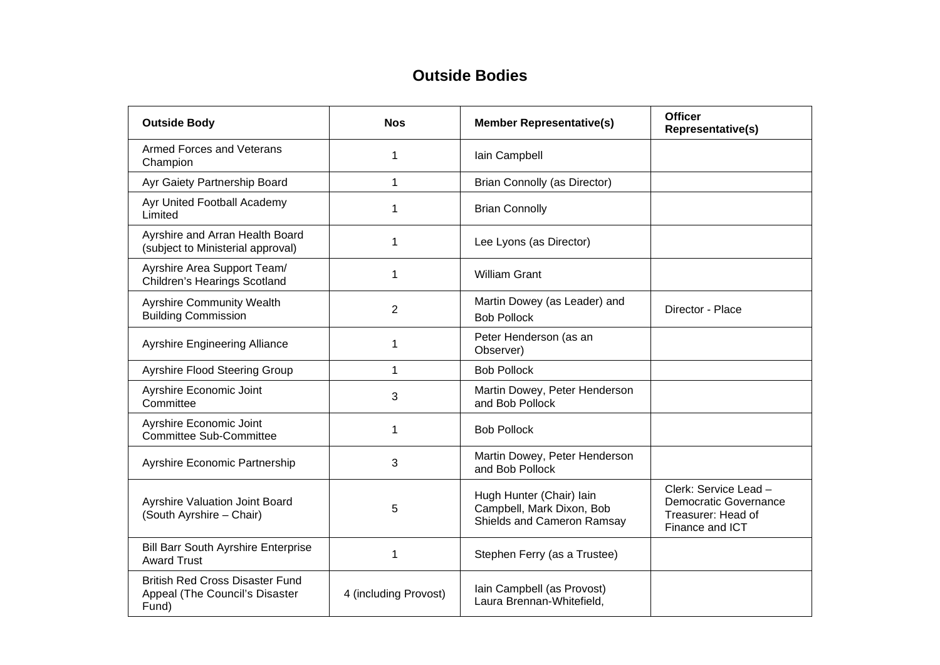## **Outside Bodies**

| <b>Outside Body</b>                                                               | <b>Nos</b>            | <b>Member Representative(s)</b>                                                     | <b>Officer</b><br>Representative(s)                                                            |
|-----------------------------------------------------------------------------------|-----------------------|-------------------------------------------------------------------------------------|------------------------------------------------------------------------------------------------|
| <b>Armed Forces and Veterans</b><br>Champion                                      | 1                     | Iain Campbell                                                                       |                                                                                                |
| Ayr Gaiety Partnership Board                                                      | $\mathbf 1$           | <b>Brian Connolly (as Director)</b>                                                 |                                                                                                |
| Ayr United Football Academy<br>Limited                                            | 1                     | <b>Brian Connolly</b>                                                               |                                                                                                |
| Ayrshire and Arran Health Board<br>(subject to Ministerial approval)              | 1                     | Lee Lyons (as Director)                                                             |                                                                                                |
| Ayrshire Area Support Team/<br><b>Children's Hearings Scotland</b>                | 1                     | <b>William Grant</b>                                                                |                                                                                                |
| <b>Ayrshire Community Wealth</b><br><b>Building Commission</b>                    | $\overline{2}$        | Martin Dowey (as Leader) and<br><b>Bob Pollock</b>                                  | Director - Place                                                                               |
| <b>Ayrshire Engineering Alliance</b>                                              | 1                     | Peter Henderson (as an<br>Observer)                                                 |                                                                                                |
| Ayrshire Flood Steering Group                                                     | 1                     | <b>Bob Pollock</b>                                                                  |                                                                                                |
| Ayrshire Economic Joint<br>Committee                                              | 3                     | Martin Dowey, Peter Henderson<br>and Bob Pollock                                    |                                                                                                |
| Ayrshire Economic Joint<br><b>Committee Sub-Committee</b>                         | 1                     | <b>Bob Pollock</b>                                                                  |                                                                                                |
| Ayrshire Economic Partnership                                                     | 3                     | Martin Dowey, Peter Henderson<br>and Bob Pollock                                    |                                                                                                |
| Ayrshire Valuation Joint Board<br>(South Ayrshire - Chair)                        | 5                     | Hugh Hunter (Chair) lain<br>Campbell, Mark Dixon, Bob<br>Shields and Cameron Ramsay | Clerk: Service Lead -<br><b>Democratic Governance</b><br>Treasurer: Head of<br>Finance and ICT |
| <b>Bill Barr South Ayrshire Enterprise</b><br><b>Award Trust</b>                  | $\mathbf 1$           | Stephen Ferry (as a Trustee)                                                        |                                                                                                |
| <b>British Red Cross Disaster Fund</b><br>Appeal (The Council's Disaster<br>Fund) | 4 (including Provost) | Iain Campbell (as Provost)<br>Laura Brennan-Whitefield,                             |                                                                                                |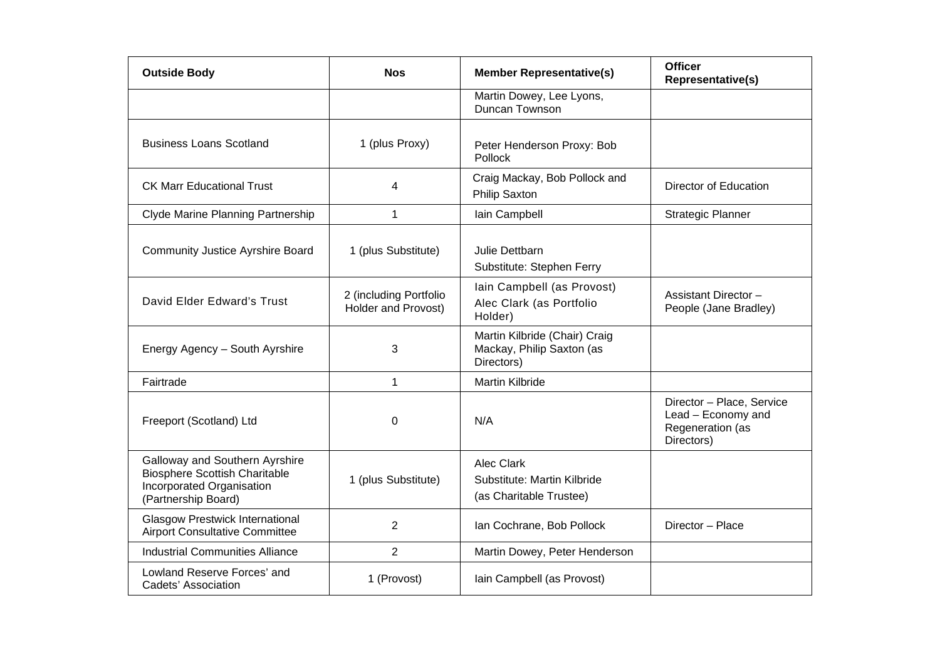| <b>Outside Body</b>                                                                                                        | <b>Nos</b>                                    | <b>Member Representative(s)</b>                                             | <b>Officer</b><br><b>Representative(s)</b>                                        |
|----------------------------------------------------------------------------------------------------------------------------|-----------------------------------------------|-----------------------------------------------------------------------------|-----------------------------------------------------------------------------------|
|                                                                                                                            |                                               | Martin Dowey, Lee Lyons,<br>Duncan Townson                                  |                                                                                   |
| <b>Business Loans Scotland</b>                                                                                             | 1 (plus Proxy)                                | Peter Henderson Proxy: Bob<br>Pollock                                       |                                                                                   |
| <b>CK Marr Educational Trust</b>                                                                                           | 4                                             | Craig Mackay, Bob Pollock and<br>Philip Saxton                              | <b>Director of Education</b>                                                      |
| Clyde Marine Planning Partnership                                                                                          | 1                                             | lain Campbell                                                               | <b>Strategic Planner</b>                                                          |
| <b>Community Justice Ayrshire Board</b>                                                                                    | 1 (plus Substitute)                           | Julie Dettbarn<br>Substitute: Stephen Ferry                                 |                                                                                   |
| David Elder Edward's Trust                                                                                                 | 2 (including Portfolio<br>Holder and Provost) | Iain Campbell (as Provost)<br>Alec Clark (as Portfolio<br>Holder)           | Assistant Director -<br>People (Jane Bradley)                                     |
| Energy Agency - South Ayrshire                                                                                             | 3                                             | Martin Kilbride (Chair) Craig<br>Mackay, Philip Saxton (as<br>Directors)    |                                                                                   |
| Fairtrade                                                                                                                  | $\mathbf{1}$                                  | <b>Martin Kilbride</b>                                                      |                                                                                   |
| Freeport (Scotland) Ltd                                                                                                    | $\mathbf 0$                                   | N/A                                                                         | Director - Place, Service<br>Lead - Economy and<br>Regeneration (as<br>Directors) |
| Galloway and Southern Ayrshire<br><b>Biosphere Scottish Charitable</b><br>Incorporated Organisation<br>(Partnership Board) | 1 (plus Substitute)                           | <b>Alec Clark</b><br>Substitute: Martin Kilbride<br>(as Charitable Trustee) |                                                                                   |
| <b>Glasgow Prestwick International</b><br><b>Airport Consultative Committee</b>                                            | $\overline{2}$                                | Ian Cochrane, Bob Pollock                                                   | Director - Place                                                                  |
| <b>Industrial Communities Alliance</b>                                                                                     | 2                                             | Martin Dowey, Peter Henderson                                               |                                                                                   |
| Lowland Reserve Forces' and<br>Cadets' Association                                                                         | 1 (Provost)                                   | Iain Campbell (as Provost)                                                  |                                                                                   |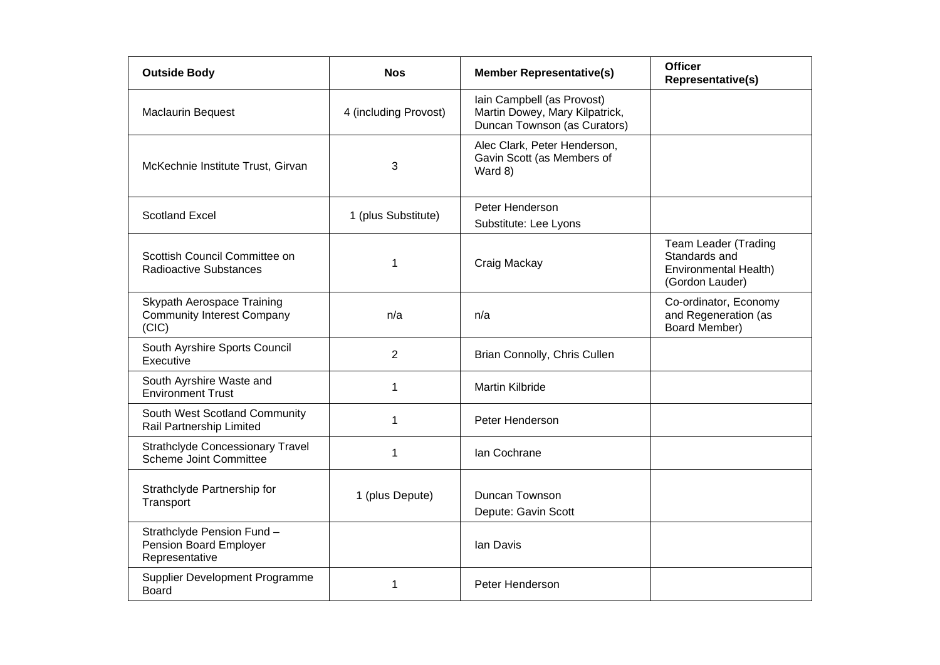| <b>Outside Body</b>                                                      | <b>Nos</b>            | <b>Member Representative(s)</b>                                                              | <b>Officer</b><br>Representative(s)                                                      |
|--------------------------------------------------------------------------|-----------------------|----------------------------------------------------------------------------------------------|------------------------------------------------------------------------------------------|
| <b>Maclaurin Bequest</b>                                                 | 4 (including Provost) | Iain Campbell (as Provost)<br>Martin Dowey, Mary Kilpatrick,<br>Duncan Townson (as Curators) |                                                                                          |
| McKechnie Institute Trust, Girvan                                        | 3                     | Alec Clark, Peter Henderson,<br>Gavin Scott (as Members of<br>Ward 8)                        |                                                                                          |
| <b>Scotland Excel</b>                                                    | 1 (plus Substitute)   | Peter Henderson<br>Substitute: Lee Lyons                                                     |                                                                                          |
| Scottish Council Committee on<br><b>Radioactive Substances</b>           | 1                     | Craig Mackay                                                                                 | <b>Team Leader (Trading</b><br>Standards and<br>Environmental Health)<br>(Gordon Lauder) |
| Skypath Aerospace Training<br><b>Community Interest Company</b><br>(CIC) | n/a                   | n/a                                                                                          | Co-ordinator, Economy<br>and Regeneration (as<br>Board Member)                           |
| South Ayrshire Sports Council<br>Executive                               | 2                     | Brian Connolly, Chris Cullen                                                                 |                                                                                          |
| South Ayrshire Waste and<br><b>Environment Trust</b>                     | 1                     | <b>Martin Kilbride</b>                                                                       |                                                                                          |
| South West Scotland Community<br>Rail Partnership Limited                | 1                     | Peter Henderson                                                                              |                                                                                          |
| <b>Strathclyde Concessionary Travel</b><br>Scheme Joint Committee        | 1                     | Ian Cochrane                                                                                 |                                                                                          |
| Strathclyde Partnership for<br>Transport                                 | 1 (plus Depute)       | Duncan Townson<br>Depute: Gavin Scott                                                        |                                                                                          |
| Strathclyde Pension Fund -<br>Pension Board Employer<br>Representative   |                       | lan Davis                                                                                    |                                                                                          |
| Supplier Development Programme<br>Board                                  | 1                     | Peter Henderson                                                                              |                                                                                          |